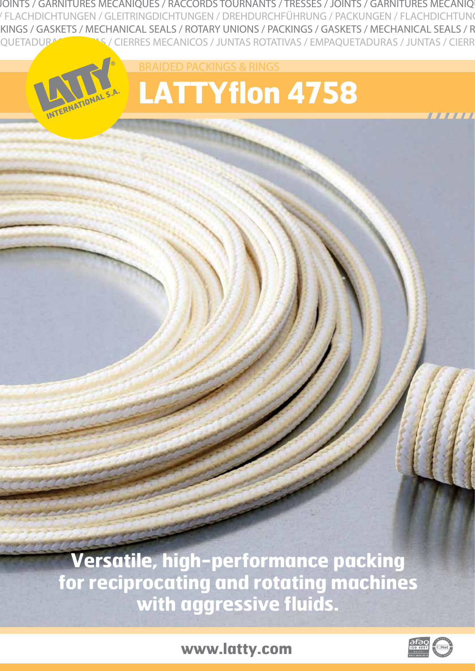INTS / TRESSES / JOINTS / GARNITURES MECANIQUES / RACCORDS TOURNANTS / TRESSES / JOINTS / GARNITURES MECANIQUES / RACCORDS TOURNANTS G / PACKUNGEN / FLACHDICHTUNGEN / GLEITRINGDICHTUNGEN / DREHDURCHFÜHRUNG / PACKUNGEN / FLACHDICHTUNGEN / GLEITRINGDICHTUNGEN / D KINGS / GASKETS / MECHANICAL SEALS / ROTARY UNIONS / PACKINGS / GASKETS / MECHANICAL SEALS / R QUETADURA ANNO ANNO 1999 NECANICOS / JUNTAS ROTATIVAS / EMPAQUETADURAS / JUNTAS / CIERR

> RAIDED PACKINGS & RINGS **LATTYflon 4758**

**Versatile, high-performance packing for reciprocating and rotating machines with aggressive fluids.**

**www.latty.com**